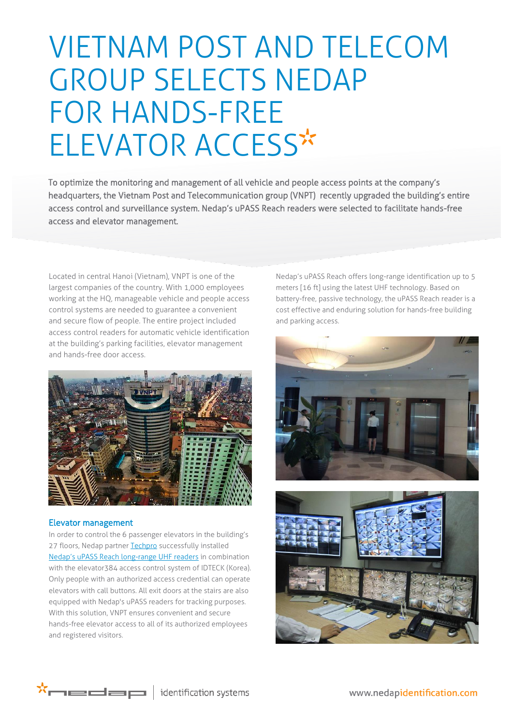# VIETNAM POST AND TELECOM GROUP SELECTS NEDAP FOR HANDS-FREE ELEVATOR ACCESS

access control and surveillance system. Nedap's uPASS Reach readers were selected to facilitate hands-free To optimize the monitoring and management of all vehicle and people access points at the company's headquarters, the Vietnam Post and Telecommunication group (VNPT) recently upgraded the building's entire access and elevator management.

Located in central Hanoi (Vietnam), VNPT is one of the largest companies of the country. With 1,000 employees working at the HQ, manageable vehicle and people access control systems are needed to guarantee a convenient and secure flow of people. The entire project included access control readers for automatic vehicle identification at the building's parking facilities, elevator management and hands-free door access.



## Elevator management

In order to control the 6 passenger elevators in the building's 27 floors, Nedap partne[r Techpro](http://www.techpro.vn/en/) successfully installed [Nedap's uPASS Reach long](http://www.nedapidentification.com/products/uhf-readers-and-tags/upass-reach.html)-range UHF readers in combination with the elevator384 access control system of IDTECK (Korea). Only people with an authorized access credential can operate elevators with call buttons. All exit doors at the stairs are also equipped with Nedap's uPASS readers for tracking purposes. With this solution, VNPT ensures convenient and secure hands-free elevator access to all of its authorized employees and registered visitors.

Nedap's uPASS Reach offers long-range identification up to 5 meters [16 ft] using the latest UHF technology. Based on battery-free, passive technology, the uPASS Reach reader is a cost effective and enduring solution for hands-free building and parking access.







www.nedapidentification.com